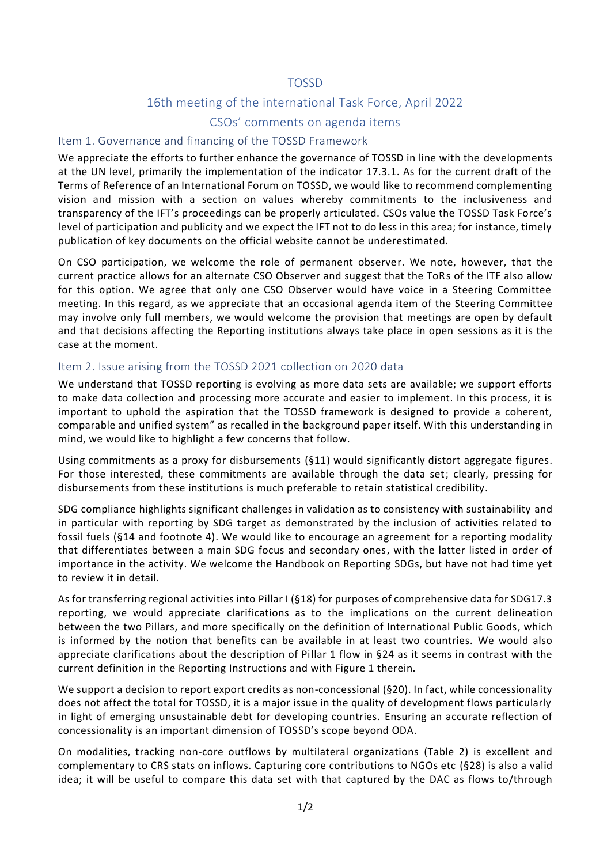# TOSSD

# 16th meeting of the international Task Force, April 2022

## CSOs' comments on agenda items

#### Item 1. Governance and financing of the TOSSD Framework

We appreciate the efforts to further enhance the governance of TOSSD in line with the developments at the UN level, primarily the implementation of the indicator 17.3.1. As for the current draft of the Terms of Reference of an International Forum on TOSSD, we would like to recommend complementing vision and mission with a section on values whereby commitments to the inclusiveness and transparency of the IFT's proceedings can be properly articulated. CSOs value the TOSSD Task Force's level of participation and publicity and we expect the IFT not to do less in this area; for instance, timely publication of key documents on the official website cannot be underestimated.

On CSO participation, we welcome the role of permanent observer. We note, however, that the current practice allows for an alternate CSO Observer and suggest that the ToRs of the ITF also allow for this option. We agree that only one CSO Observer would have voice in a Steering Committee meeting. In this regard, as we appreciate that an occasional agenda item of the Steering Committee may involve only full members, we would welcome the provision that meetings are open by default and that decisions affecting the Reporting institutions always take place in open sessions as it is the case at the moment.

### Item 2. Issue arising from the TOSSD 2021 collection on 2020 data

We understand that TOSSD reporting is evolving as more data sets are available; we support efforts to make data collection and processing more accurate and easier to implement. In this process, it is important to uphold the aspiration that the TOSSD framework is designed to provide a coherent, comparable and unified system" as recalled in the background paper itself. With this understanding in mind, we would like to highlight a few concerns that follow.

Using commitments as a proxy for disbursements (§11) would significantly distort aggregate figures. For those interested, these commitments are available through the data set; clearly, pressing for disbursements from these institutions is much preferable to retain statistical credibility.

SDG compliance highlights significant challenges in validation as to consistency with sustainability and in particular with reporting by SDG target as demonstrated by the inclusion of activities related to fossil fuels (§14 and footnote 4). We would like to encourage an agreement for a reporting modality that differentiates between a main SDG focus and secondary ones, with the latter listed in order of importance in the activity. We welcome the Handbook on Reporting SDGs, but have not had time yet to review it in detail.

As for transferring regional activities into Pillar I (§18) for purposes of comprehensive data for SDG17.3 reporting, we would appreciate clarifications as to the implications on the current delineation between the two Pillars, and more specifically on the definition of International Public Goods, which is informed by the notion that benefits can be available in at least two countries. We would also appreciate clarifications about the description of Pillar 1 flow in §24 as it seems in contrast with the current definition in the Reporting Instructions and with Figure 1 therein.

We support a decision to report export credits as non-concessional (§20). In fact, while concessionality does not affect the total for TOSSD, it is a major issue in the quality of development flows particularly in light of emerging unsustainable debt for developing countries. Ensuring an accurate reflection of concessionality is an important dimension of TOSSD's scope beyond ODA.

On modalities, tracking non-core outflows by multilateral organizations (Table 2) is excellent and complementary to CRS stats on inflows. Capturing core contributions to NGOs etc (§28) is also a valid idea; it will be useful to compare this data set with that captured by the DAC as flows to/through